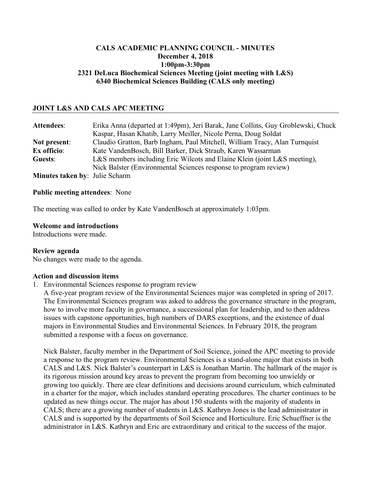### **CALS ACADEMIC PLANNING COUNCIL - MINUTES December 4, 2018 1:00pm-3:30pm 2321 DeLuca Biochemical Sciences Meeting (joint meeting with L&S) 6340 Biochemical Sciences Building (CALS only meeting)**

### **JOINT L&S AND CALS APC MEETING**

| <b>Attendees:</b>             | Erika Anna (departed at 1:49pm), Jeri Barak, Jane Collins, Guy Groblewski, Chuck |
|-------------------------------|----------------------------------------------------------------------------------|
|                               | Kaspar, Hasan Khatib, Larry Meiller, Nicole Perna, Doug Soldat                   |
| Not present:                  | Claudio Gratton, Barb Ingham, Paul Mitchell, William Tracy, Alan Turnquist       |
| Ex officio:                   | Kate VandenBosch, Bill Barker, Dick Straub, Karen Wassarman                      |
| Guests:                       | L&S members including Eric Wilcots and Elaine Klein (joint L&S meeting),         |
|                               | Nick Balster (Environmental Sciences response to program review)                 |
| Minutos takon hy Iulio Scharm |                                                                                  |

**Minutes taken by**: Julie Scharm

#### **Public meeting attendees**: None

The meeting was called to order by Kate VandenBosch at approximately 1:03pm.

#### **Welcome and introductions**

Introductions were made.

#### **Review agenda**

No changes were made to the agenda.

#### **Action and discussion items**

1. Environmental Sciences response to program review

A five-year program review of the Environmental Sciences major was completed in spring of 2017. The Environmental Sciences program was asked to address the governance structure in the program, how to involve more faculty in governance, a successional plan for leadership, and to then address issues with capstone opportunities, high numbers of DARS exceptions, and the existence of dual majors in Environmental Studies and Environmental Sciences. In February 2018, the program submitted a response with a focus on governance.

Nick Balster, faculty member in the Department of Soil Science, joined the APC meeting to provide a response to the program review. Environmental Sciences is a stand-alone major that exists in both CALS and L&S. Nick Balster's counterpart in L&S is Jonathan Martin. The hallmark of the major is its rigorous mission around key areas to prevent the program from becoming too unwieldy or growing too quickly. There are clear definitions and decisions around curriculum, which culminated in a charter for the major, which includes standard operating procedures. The charter continues to be updated as new things occur. The major has about 150 students with the majority of students in CALS; there are a growing number of students in L&S. Kathryn Jones is the lead administrator in CALS and is supported by the departments of Soil Science and Horticulture. Eric Schueffner is the administrator in L&S. Kathryn and Eric are extraordinary and critical to the success of the major.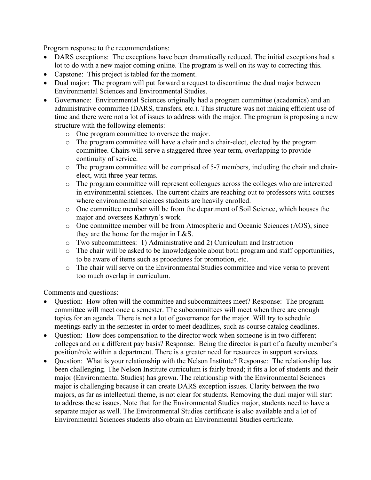Program response to the recommendations:

- DARS exceptions: The exceptions have been dramatically reduced. The initial exceptions had a lot to do with a new major coming online. The program is well on its way to correcting this.
- Capstone: This project is tabled for the moment.
- Dual major: The program will put forward a request to discontinue the dual major between Environmental Sciences and Environmental Studies.
- Governance: Environmental Sciences originally had a program committee (academics) and an administrative committee (DARS, transfers, etc.). This structure was not making efficient use of time and there were not a lot of issues to address with the major. The program is proposing a new structure with the following elements:
	- o One program committee to oversee the major.
	- o The program committee will have a chair and a chair-elect, elected by the program committee. Chairs will serve a staggered three-year term, overlapping to provide continuity of service.
	- o The program committee will be comprised of 5-7 members, including the chair and chairelect, with three-year terms.
	- o The program committee will represent colleagues across the colleges who are interested in environmental sciences. The current chairs are reaching out to professors with courses where environmental sciences students are heavily enrolled.
	- o One committee member will be from the department of Soil Science, which houses the major and oversees Kathryn's work.
	- o One committee member will be from Atmospheric and Oceanic Sciences (AOS), since they are the home for the major in L&S.
	- o Two subcommittees: 1) Administrative and 2) Curriculum and Instruction
	- o The chair will be asked to be knowledgeable about both program and staff opportunities, to be aware of items such as procedures for promotion, etc.
	- o The chair will serve on the Environmental Studies committee and vice versa to prevent too much overlap in curriculum.

Comments and questions:

- Question: How often will the committee and subcommittees meet? Response: The program committee will meet once a semester. The subcommittees will meet when there are enough topics for an agenda. There is not a lot of governance for the major. Will try to schedule meetings early in the semester in order to meet deadlines, such as course catalog deadlines.
- Ouestion: How does compensation to the director work when someone is in two different colleges and on a different pay basis? Response: Being the director is part of a faculty member's position/role within a department. There is a greater need for resources in support services.
- Ouestion: What is your relationship with the Nelson Institute? Response: The relationship has been challenging. The Nelson Institute curriculum is fairly broad; it fits a lot of students and their major (Environmental Studies) has grown. The relationship with the Environmental Sciences major is challenging because it can create DARS exception issues. Clarity between the two majors, as far as intellectual theme, is not clear for students. Removing the dual major will start to address these issues. Note that for the Environmental Studies major, students need to have a separate major as well. The Environmental Studies certificate is also available and a lot of Environmental Sciences students also obtain an Environmental Studies certificate.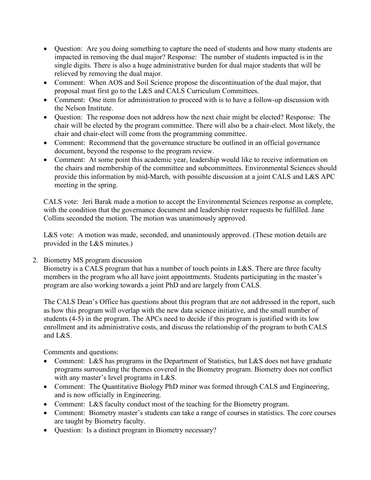- Question: Are you doing something to capture the need of students and how many students are impacted in removing the dual major? Response: The number of students impacted is in the single digits. There is also a huge administrative burden for dual major students that will be relieved by removing the dual major.
- Comment: When AOS and Soil Science propose the discontinuation of the dual major, that proposal must first go to the L&S and CALS Curriculum Committees.
- Comment: One item for administration to proceed with is to have a follow-up discussion with the Nelson Institute.
- Question: The response does not address how the next chair might be elected? Response: The chair will be elected by the program committee. There will also be a chair-elect. Most likely, the chair and chair-elect will come from the programming committee.
- Comment: Recommend that the governance structure be outlined in an official governance document, beyond the response to the program review.
- Comment: At some point this academic year, leadership would like to receive information on the chairs and membership of the committee and subcommittees. Environmental Sciences should provide this information by mid-March, with possible discussion at a joint CALS and L&S APC meeting in the spring.

CALS vote: Jeri Barak made a motion to accept the Environmental Sciences response as complete, with the condition that the governance document and leadership roster requests be fulfilled. Jane Collins seconded the motion. The motion was unanimously approved.

L&S vote: A motion was made, seconded, and unanimously approved. (These motion details are provided in the L&S minutes.)

## 2. Biometry MS program discussion

Biometry is a CALS program that has a number of touch points in L&S. There are three faculty members in the program who all have joint appointments. Students participating in the master's program are also working towards a joint PhD and are largely from CALS.

The CALS Dean's Office has questions about this program that are not addressed in the report, such as how this program will overlap with the new data science initiative, and the small number of students (4-5) in the program. The APCs need to decide if this program is justified with its low enrollment and its administrative costs, and discuss the relationship of the program to both CALS and L&S.

Comments and questions:

- Comment: L&S has programs in the Department of Statistics, but L&S does not have graduate programs surrounding the themes covered in the Biometry program. Biometry does not conflict with any master's level programs in L&S.
- Comment: The Quantitative Biology PhD minor was formed through CALS and Engineering, and is now officially in Engineering.
- Comment: L&S faculty conduct most of the teaching for the Biometry program.
- Comment: Biometry master's students can take a range of courses in statistics. The core courses are taught by Biometry faculty.
- Question: Is a distinct program in Biometry necessary?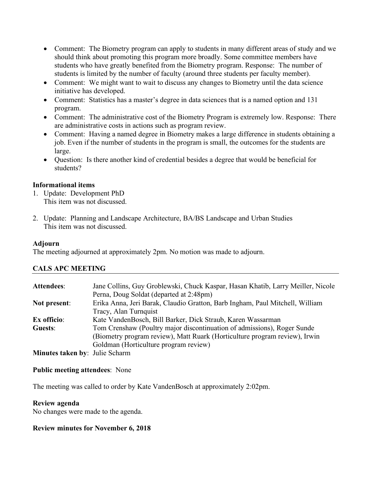- Comment: The Biometry program can apply to students in many different areas of study and we should think about promoting this program more broadly. Some committee members have students who have greatly benefited from the Biometry program. Response: The number of students is limited by the number of faculty (around three students per faculty member).
- Comment: We might want to wait to discuss any changes to Biometry until the data science initiative has developed.
- Comment: Statistics has a master's degree in data sciences that is a named option and 131 program.
- Comment: The administrative cost of the Biometry Program is extremely low. Response: There are administrative costs in actions such as program review.
- Comment: Having a named degree in Biometry makes a large difference in students obtaining a job. Even if the number of students in the program is small, the outcomes for the students are large.
- Question: Is there another kind of credential besides a degree that would be beneficial for students?

### **Informational items**

- 1. Update: Development PhD This item was not discussed.
- 2. Update: Planning and Landscape Architecture, BA/BS Landscape and Urban Studies This item was not discussed.

### **Adjourn**

The meeting adjourned at approximately 2pm. No motion was made to adjourn.

## **CALS APC MEETING**

| <b>Attendees:</b>                     | Jane Collins, Guy Groblewski, Chuck Kaspar, Hasan Khatib, Larry Meiller, Nicole |
|---------------------------------------|---------------------------------------------------------------------------------|
|                                       | Perna, Doug Soldat (departed at 2:48pm)                                         |
| Not present:                          | Erika Anna, Jeri Barak, Claudio Gratton, Barb Ingham, Paul Mitchell, William    |
|                                       | Tracy, Alan Turnquist                                                           |
| Ex officio:                           | Kate VandenBosch, Bill Barker, Dick Straub, Karen Wassarman                     |
| Guests:                               | Tom Crenshaw (Poultry major discontinuation of admissions), Roger Sunde         |
|                                       | (Biometry program review), Matt Ruark (Horticulture program review), Irwin      |
|                                       | Goldman (Horticulture program review)                                           |
| <b>Minutes taken by: Julie Scharm</b> |                                                                                 |

### **Public meeting attendees**: None

The meeting was called to order by Kate VandenBosch at approximately 2:02pm.

### **Review agenda**

No changes were made to the agenda.

### **Review minutes for November 6, 2018**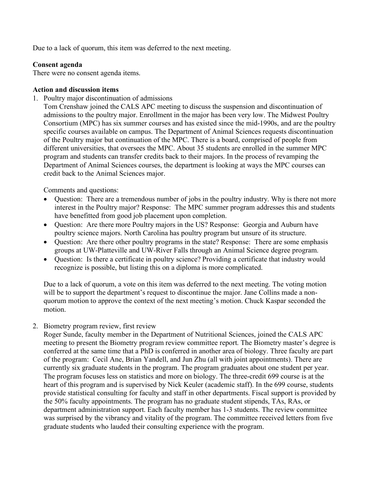Due to a lack of quorum, this item was deferred to the next meeting.

### **Consent agenda**

There were no consent agenda items.

### **Action and discussion items**

1. Poultry major discontinuation of admissions

Tom Crenshaw joined the CALS APC meeting to discuss the suspension and discontinuation of admissions to the poultry major. Enrollment in the major has been very low. The Midwest Poultry Consortium (MPC) has six summer courses and has existed since the mid-1990s, and are the poultry specific courses available on campus. The Department of Animal Sciences requests discontinuation of the Poultry major but continuation of the MPC. There is a board, comprised of people from different universities, that oversees the MPC. About 35 students are enrolled in the summer MPC program and students can transfer credits back to their majors. In the process of revamping the Department of Animal Sciences courses, the department is looking at ways the MPC courses can credit back to the Animal Sciences major.

Comments and questions:

- Question: There are a tremendous number of jobs in the poultry industry. Why is there not more interest in the Poultry major? Response: The MPC summer program addresses this and students have benefitted from good job placement upon completion.
- Question: Are there more Poultry majors in the US? Response: Georgia and Auburn have poultry science majors. North Carolina has poultry program but unsure of its structure.
- Question: Are there other poultry programs in the state? Response: There are some emphasis groups at UW-Platteville and UW-River Falls through an Animal Science degree program.
- Ouestion: Is there a certificate in poultry science? Providing a certificate that industry would recognize is possible, but listing this on a diploma is more complicated.

Due to a lack of quorum, a vote on this item was deferred to the next meeting. The voting motion will be to support the department's request to discontinue the major. Jane Collins made a nonquorum motion to approve the context of the next meeting's motion. Chuck Kaspar seconded the motion.

2. Biometry program review, first review

Roger Sunde, faculty member in the Department of Nutritional Sciences, joined the CALS APC meeting to present the Biometry program review committee report. The Biometry master's degree is conferred at the same time that a PhD is conferred in another area of biology. Three faculty are part of the program: Cecil Ane, Brian Yandell, and Jun Zhu (all with joint appointments). There are currently six graduate students in the program. The program graduates about one student per year. The program focuses less on statistics and more on biology. The three-credit 699 course is at the heart of this program and is supervised by Nick Keuler (academic staff). In the 699 course, students provide statistical consulting for faculty and staff in other departments. Fiscal support is provided by the 50% faculty appointments. The program has no graduate student stipends, TAs, RAs, or department administration support. Each faculty member has 1-3 students. The review committee was surprised by the vibrancy and vitality of the program. The committee received letters from five graduate students who lauded their consulting experience with the program.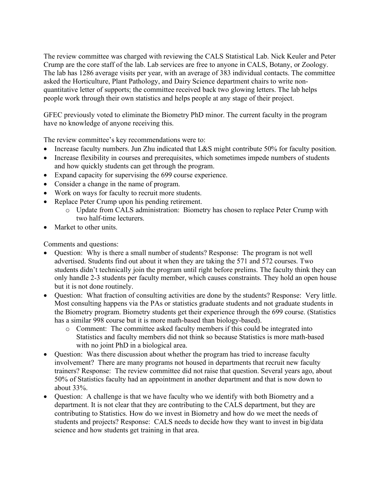The review committee was charged with reviewing the CALS Statistical Lab. Nick Keuler and Peter Crump are the core staff of the lab. Lab services are free to anyone in CALS, Botany, or Zoology. The lab has 1286 average visits per year, with an average of 383 individual contacts. The committee asked the Horticulture, Plant Pathology, and Dairy Science department chairs to write nonquantitative letter of supports; the committee received back two glowing letters. The lab helps people work through their own statistics and helps people at any stage of their project.

GFEC previously voted to eliminate the Biometry PhD minor. The current faculty in the program have no knowledge of anyone receiving this.

The review committee's key recommendations were to:

- Increase faculty numbers. Jun Zhu indicated that L&S might contribute 50% for faculty position.
- Increase flexibility in courses and prerequisites, which sometimes impede numbers of students and how quickly students can get through the program.
- Expand capacity for supervising the 699 course experience.
- Consider a change in the name of program.
- Work on ways for faculty to recruit more students.
- Replace Peter Crump upon his pending retirement.
	- o Update from CALS administration: Biometry has chosen to replace Peter Crump with two half-time lecturers.
- Market to other units.

Comments and questions:

- Question: Why is there a small number of students? Response: The program is not well advertised. Students find out about it when they are taking the 571 and 572 courses. Two students didn't technically join the program until right before prelims. The faculty think they can only handle 2-3 students per faculty member, which causes constraints. They hold an open house but it is not done routinely.
- Question: What fraction of consulting activities are done by the students? Response: Very little. Most consulting happens via the PAs or statistics graduate students and not graduate students in the Biometry program. Biometry students get their experience through the 699 course. (Statistics has a similar 998 course but it is more math-based than biology-based).
	- o Comment: The committee asked faculty members if this could be integrated into Statistics and faculty members did not think so because Statistics is more math-based with no joint PhD in a biological area.
- Question: Was there discussion about whether the program has tried to increase faculty involvement? There are many programs not housed in departments that recruit new faculty trainers? Response: The review committee did not raise that question. Several years ago, about 50% of Statistics faculty had an appointment in another department and that is now down to about 33%.
- Question: A challenge is that we have faculty who we identify with both Biometry and a department. It is not clear that they are contributing to the CALS department, but they are contributing to Statistics. How do we invest in Biometry and how do we meet the needs of students and projects? Response: CALS needs to decide how they want to invest in big/data science and how students get training in that area.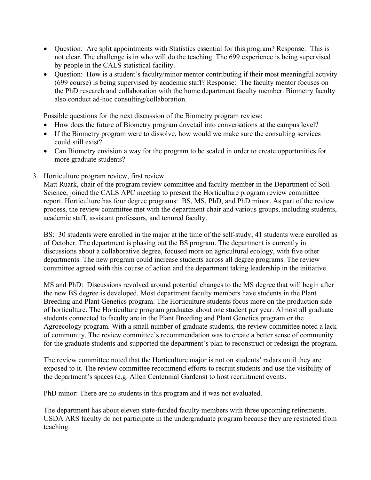- Question: Are split appointments with Statistics essential for this program? Response: This is not clear. The challenge is in who will do the teaching. The 699 experience is being supervised by people in the CALS statistical facility.
- Ouestion: How is a student's faculty/minor mentor contributing if their most meaningful activity (699 course) is being supervised by academic staff? Response: The faculty mentor focuses on the PhD research and collaboration with the home department faculty member. Biometry faculty also conduct ad-hoc consulting/collaboration.

Possible questions for the next discussion of the Biometry program review:

- How does the future of Biometry program dovetail into conversations at the campus level?
- If the Biometry program were to dissolve, how would we make sure the consulting services could still exist?
- Can Biometry envision a way for the program to be scaled in order to create opportunities for more graduate students?
- 3. Horticulture program review, first review

Matt Ruark, chair of the program review committee and faculty member in the Department of Soil Science, joined the CALS APC meeting to present the Horticulture program review committee report. Horticulture has four degree programs: BS, MS, PhD, and PhD minor. As part of the review process, the review committee met with the department chair and various groups, including students, academic staff, assistant professors, and tenured faculty.

BS: 30 students were enrolled in the major at the time of the self-study; 41 students were enrolled as of October. The department is phasing out the BS program. The department is currently in discussions about a collaborative degree, focused more on agricultural ecology, with five other departments. The new program could increase students across all degree programs. The review committee agreed with this course of action and the department taking leadership in the initiative.

MS and PhD: Discussions revolved around potential changes to the MS degree that will begin after the new BS degree is developed. Most department faculty members have students in the Plant Breeding and Plant Genetics program. The Horticulture students focus more on the production side of horticulture. The Horticulture program graduates about one student per year. Almost all graduate students connected to faculty are in the Plant Breeding and Plant Genetics program or the Agroecology program. With a small number of graduate students, the review committee noted a lack of community. The review committee's recommendation was to create a better sense of community for the graduate students and supported the department's plan to reconstruct or redesign the program.

The review committee noted that the Horticulture major is not on students' radars until they are exposed to it. The review committee recommend efforts to recruit students and use the visibility of the department's spaces (e.g. Allen Centennial Gardens) to host recruitment events.

PhD minor: There are no students in this program and it was not evaluated.

The department has about eleven state-funded faculty members with three upcoming retirements. USDA ARS faculty do not participate in the undergraduate program because they are restricted from teaching.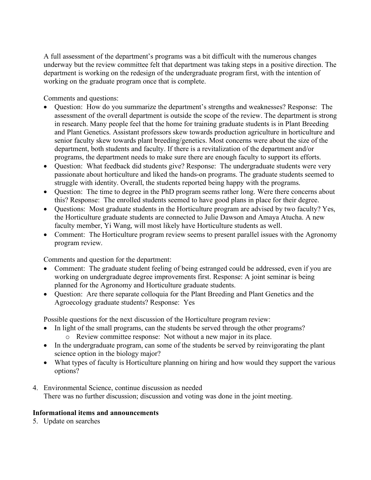A full assessment of the department's programs was a bit difficult with the numerous changes underway but the review committee felt that department was taking steps in a positive direction. The department is working on the redesign of the undergraduate program first, with the intention of working on the graduate program once that is complete.

Comments and questions:

- Question: How do you summarize the department's strengths and weaknesses? Response: The assessment of the overall department is outside the scope of the review. The department is strong in research. Many people feel that the home for training graduate students is in Plant Breeding and Plant Genetics. Assistant professors skew towards production agriculture in horticulture and senior faculty skew towards plant breeding/genetics. Most concerns were about the size of the department, both students and faculty. If there is a revitalization of the department and/or programs, the department needs to make sure there are enough faculty to support its efforts.
- Question: What feedback did students give? Response: The undergraduate students were very passionate about horticulture and liked the hands-on programs. The graduate students seemed to struggle with identity. Overall, the students reported being happy with the programs.
- Question: The time to degree in the PhD program seems rather long. Were there concerns about this? Response: The enrolled students seemed to have good plans in place for their degree.
- Questions: Most graduate students in the Horticulture program are advised by two faculty? Yes, the Horticulture graduate students are connected to Julie Dawson and Amaya Atucha. A new faculty member, Yi Wang, will most likely have Horticulture students as well.
- Comment: The Horticulture program review seems to present parallel issues with the Agronomy program review.

Comments and question for the department:

- Comment: The graduate student feeling of being estranged could be addressed, even if you are working on undergraduate degree improvements first. Response: A joint seminar is being planned for the Agronomy and Horticulture graduate students.
- Question: Are there separate colloquia for the Plant Breeding and Plant Genetics and the Agroecology graduate students? Response: Yes

Possible questions for the next discussion of the Horticulture program review:

- In light of the small programs, can the students be served through the other programs? o Review committee response: Not without a new major in its place.
- In the undergraduate program, can some of the students be served by reinvigorating the plant science option in the biology major?
- What types of faculty is Horticulture planning on hiring and how would they support the various options?
- 4. Environmental Science, continue discussion as needed There was no further discussion; discussion and voting was done in the joint meeting.

# **Informational items and announcements**

5. Update on searches